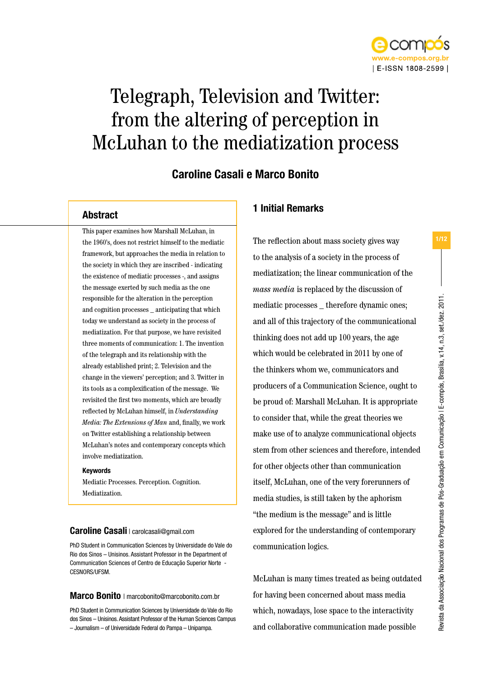

# Telegraph, Television and Twitter: from the altering of perception in McLuhan to the mediatization process

## Caroline Casali e Marco Bonito

### Abstract

This paper examines how Marshall McLuhan, in the 1960's, does not restrict himself to the mediatic framework, but approaches the media in relation to the society in which they are inscribed - indicating the existence of mediatic processes -, and assigns the message exerted by such media as the one responsible for the alteration in the perception and cognition processes \_ anticipating that which today we understand as society in the process of mediatization. For that purpose, we have revisited three moments of communication: 1. The invention of the telegraph and its relationship with the already established print; 2. Television and the change in the viewers' perception; and 3. Twitter in its tools as a complexification of the message. We revisited the first two moments, which are broadly reflected by McLuhan himself, in *Understanding Media: The Extensions of Man* and, finally, we work on Twitter establishing a relationship between McLuhan's notes and contemporary concepts which involve mediatization.

#### Keywords

Mediatic Processes. Perception. Cognition. Mediatization.

### Caroline Casali | carolcasali@gmail.com

PhD Student in Communication Sciences by Universidade do Vale do Rio dos Sinos – Unisinos. Assistant Professor in the Department of Communication Sciences of Centro de Educação Superior Norte - CESNORS/UFSM.

#### Marco Bonito | marcobonito@marcobonito.com.br

PhD Student in Communication Sciences by Universidade do Vale do Rio dos Sinos – Unisinos. Assistant Professor of the Human Sciences Campus – Journalism – of Universidade Federal do Pampa – Unipampa.

### 1 Initial Remarks

The reflection about mass society gives way to the analysis of a society in the process of mediatization; the linear communication of the *mass media* is replaced by the discussion of mediatic processes therefore dynamic ones; and all of this trajectory of the communicational thinking does not add up 100 years, the age which would be celebrated in 2011 by one of the thinkers whom we, communicators and producers of a Communication Science, ought to be proud of: Marshall McLuhan. It is appropriate to consider that, while the great theories we make use of to analyze communicational objects stem from other sciences and therefore, intended for other objects other than communication itself, McLuhan, one of the very forerunners of media studies, is still taken by the aphorism "the medium is the message" and is little explored for the understanding of contemporary communication logics.

McLuhan is many times treated as being outdated for having been concerned about mass media which, nowadays, lose space to the interactivity and collaborative communication made possible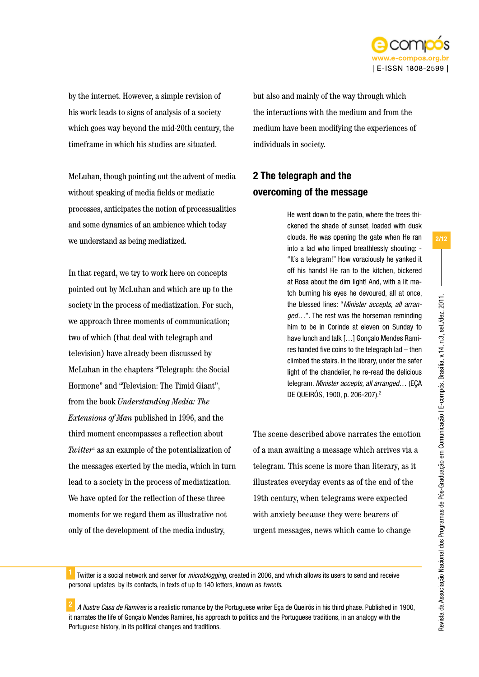

by the internet. However, a simple revision of his work leads to signs of analysis of a society which goes way beyond the mid-20th century, the timeframe in which his studies are situated.

McLuhan, though pointing out the advent of media without speaking of media fields or mediatic processes, anticipates the notion of processualities and some dynamics of an ambience which today we understand as being mediatized.

In that regard, we try to work here on concepts pointed out by McLuhan and which are up to the society in the process of mediatization. For such, we approach three moments of communication; two of which (that deal with telegraph and television) have already been discussed by McLuhan in the chapters "Telegraph: the Social Hormone" and "Television: The Timid Giant", from the book *Understanding Media: The Extensions of Man* published in 1996, and the third moment encompasses a reflection about *Twitter*<sup>1</sup> as an example of the potentialization of the messages exerted by the media, which in turn lead to a society in the process of mediatization. We have opted for the reflection of these three moments for we regard them as illustrative not only of the development of the media industry,

but also and mainly of the way through which the interactions with the medium and from the medium have been modifying the experiences of individuals in society.

# 2 The telegraph and the overcoming of the message

He went down to the patio, where the trees thickened the shade of sunset, loaded with dusk clouds. He was opening the gate when He ran into a lad who limped breathlessly shouting: - "It's a telegram!" How voraciously he yanked it off his hands! He ran to the kitchen, bickered at Rosa about the dim light! And, with a lit match burning his eyes he devoured, all at once, the blessed lines: "*Minister accepts, all arranged…*". The rest was the horseman reminding him to be in Corinde at eleven on Sunday to have lunch and talk […] Gonçalo Mendes Ramires handed five coins to the telegraph lad – then climbed the stairs. In the library, under the safer light of the chandelier, he re-read the delicious telegram. *Minister accepts, all arranged*… (EÇA DE QUEIRÓS, 1900, p. 206-207).2

The scene described above narrates the emotion of a man awaiting a message which arrives via a telegram. This scene is more than literary, as it illustrates everyday events as of the end of the 19th century, when telegrams were expected with anxiety because they were bearers of urgent messages, news which came to change

<sup>1</sup> Twitter is a social network and server for *microblogging*, created in 2006, and which allows its users to send and receive personal updates by its contacts, in texts of up to 140 letters, known as *tweets*.

<sup>2</sup> *A Ilustre Casa de Ramires* is a realistic romance by the Portuguese writer Eça de Queirós in his third phase. Published in 1900, it narrates the life of Gonçalo Mendes Ramires, his approach to politics and the Portuguese traditions, in an analogy with the Portuguese history, in its political changes and traditions.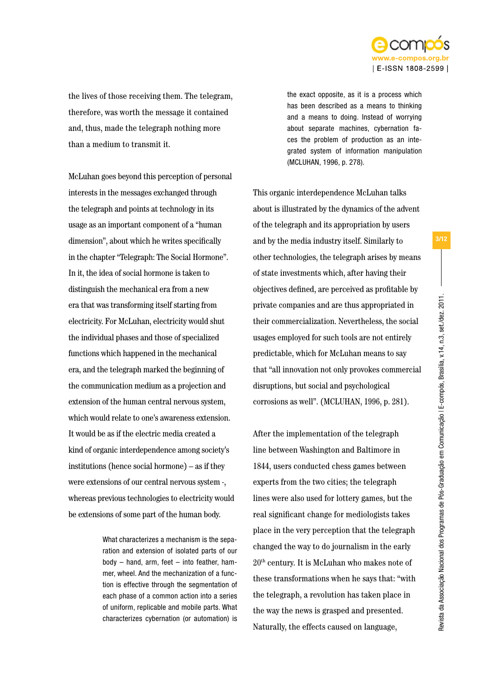

the lives of those receiving them. The telegram, therefore, was worth the message it contained and, thus, made the telegraph nothing more than a medium to transmit it.

McLuhan goes beyond this perception of personal interests in the messages exchanged through the telegraph and points at technology in its usage as an important component of a "human dimension", about which he writes specifically in the chapter "Telegraph: The Social Hormone". In it, the idea of social hormone is taken to distinguish the mechanical era from a new era that was transforming itself starting from electricity. For McLuhan, electricity would shut the individual phases and those of specialized functions which happened in the mechanical era, and the telegraph marked the beginning of the communication medium as a projection and extension of the human central nervous system, which would relate to one's awareness extension. It would be as if the electric media created a kind of organic interdependence among society's institutions (hence social hormone) – as if they were extensions of our central nervous system -, whereas previous technologies to electricity would be extensions of some part of the human body.

> What characterizes a mechanism is the separation and extension of isolated parts of our body – hand, arm, feet – into feather, hammer, wheel. And the mechanization of a function is effective through the segmentation of each phase of a common action into a series of uniform, replicable and mobile parts. What characterizes cybernation (or automation) is

the exact opposite, as it is a process which has been described as a means to thinking and a means to doing. Instead of worrying about separate machines, cybernation faces the problem of production as an integrated system of information manipulation (MCLUHAN, 1996, p. 278).

This organic interdependence McLuhan talks about is illustrated by the dynamics of the advent of the telegraph and its appropriation by users and by the media industry itself. Similarly to other technologies, the telegraph arises by means of state investments which, after having their objectives defined, are perceived as profitable by private companies and are thus appropriated in their commercialization. Nevertheless, the social usages employed for such tools are not entirely predictable, which for McLuhan means to say that "all innovation not only provokes commercial disruptions, but social and psychological corrosions as well". (MCLUHAN, 1996, p. 281).

After the implementation of the telegraph line between Washington and Baltimore in 1844, users conducted chess games between experts from the two cities; the telegraph lines were also used for lottery games, but the real significant change for mediologists takes place in the very perception that the telegraph changed the way to do journalism in the early 20th century. It is McLuhan who makes note of these transformations when he says that: "with the telegraph, a revolution has taken place in the way the news is grasped and presented. Naturally, the effects caused on language,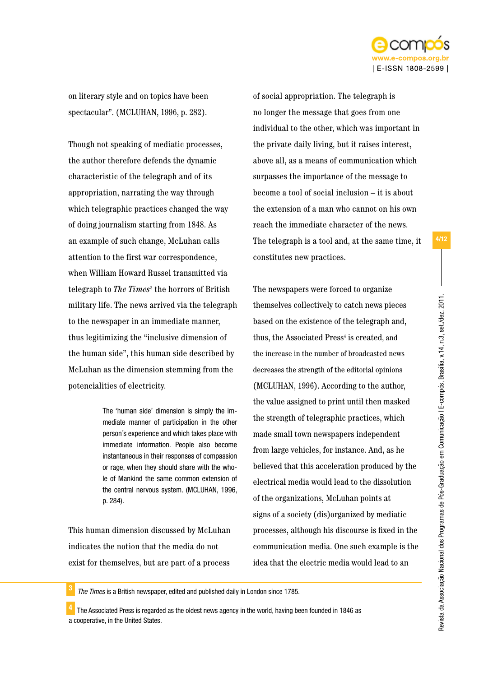

on literary style and on topics have been spectacular". (MCLUHAN, 1996, p. 282).

Though not speaking of mediatic processes, the author therefore defends the dynamic characteristic of the telegraph and of its appropriation, narrating the way through which telegraphic practices changed the way of doing journalism starting from 1848. As an example of such change, McLuhan calls attention to the first war correspondence, when William Howard Russel transmitted via telegraph to *The Times*<sup>3</sup> the horrors of British military life. The news arrived via the telegraph to the newspaper in an immediate manner, thus legitimizing the "inclusive dimension of the human side", this human side described by McLuhan as the dimension stemming from the potencialities of electricity.

> The 'human side' dimension is simply the immediate manner of participation in the other person´s experience and which takes place with immediate information. People also become instantaneous in their responses of compassion or rage, when they should share with the whole of Mankind the same common extension of the central nervous system. (MCLUHAN, 1996, p. 284).

This human dimension discussed by McLuhan indicates the notion that the media do not exist for themselves, but are part of a process of social appropriation. The telegraph is no longer the message that goes from one individual to the other, which was important in the private daily living, but it raises interest, above all, as a means of communication which surpasses the importance of the message to become a tool of social inclusion – it is about the extension of a man who cannot on his own reach the immediate character of the news. The telegraph is a tool and, at the same time, it constitutes new practices.

The newspapers were forced to organize themselves collectively to catch news pieces based on the existence of the telegraph and, thus, the Associated Press<sup>4</sup> is created, and the increase in the number of broadcasted news decreases the strength of the editorial opinions (MCLUHAN, 1996). According to the author, the value assigned to print until then masked the strength of telegraphic practices, which made small town newspapers independent from large vehicles, for instance. And, as he believed that this acceleration produced by the electrical media would lead to the dissolution of the organizations, McLuhan points at signs of a society (dis)organized by mediatic processes, although his discourse is fixed in the communication media. One such example is the idea that the electric media would lead to an

<sup>3</sup> *The Times* is a British newspaper, edited and published daily in London since 1785.

<sup>4</sup> The Associated Press is regarded as the oldest news agency in the world, having been founded in 1846 as a cooperative, in the United States.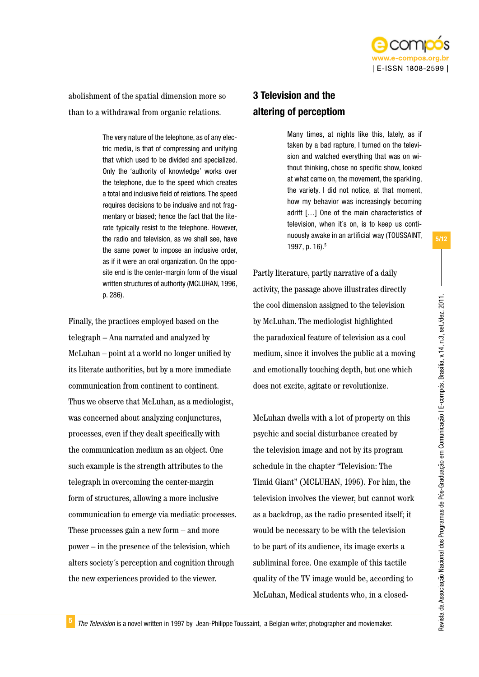

abolishment of the spatial dimension more so than to a withdrawal from organic relations.

> The very nature of the telephone, as of any electric media, is that of compressing and unifying that which used to be divided and specialized. Only the 'authority of knowledge' works over the telephone, due to the speed which creates a total and inclusive field of relations. The speed requires decisions to be inclusive and not fragmentary or biased; hence the fact that the literate typically resist to the telephone. However, the radio and television, as we shall see, have the same power to impose an inclusive order, as if it were an oral organization. On the opposite end is the center-margin form of the visual written structures of authority (MCLUHAN, 1996, p. 286).

Finally, the practices employed based on the telegraph – Ana narrated and analyzed by McLuhan – point at a world no longer unified by its literate authorities, but by a more immediate communication from continent to continent. Thus we observe that McLuhan, as a mediologist, was concerned about analyzing conjunctures, processes, even if they dealt specifically with the communication medium as an object. One such example is the strength attributes to the telegraph in overcoming the center-margin form of structures, allowing a more inclusive communication to emerge via mediatic processes. These processes gain a new form – and more power – in the presence of the television, which alters society´s perception and cognition through the new experiences provided to the viewer.

# 3 Television and the altering of perceptiom

Many times, at nights like this, lately, as if taken by a bad rapture, I turned on the television and watched everything that was on without thinking, chose no specific show, looked at what came on, the movement, the sparkling, the variety. I did not notice, at that moment, how my behavior was increasingly becoming adrift […] One of the main characteristics of television, when it´s on, is to keep us continuously awake in an artificial way (TOUSSAINT, 1997, p. 16).5

Partly literature, partly narrative of a daily activity, the passage above illustrates directly the cool dimension assigned to the television by McLuhan. The mediologist highlighted the paradoxical feature of television as a cool medium, since it involves the public at a moving and emotionally touching depth, but one which does not excite, agitate or revolutionize.

McLuhan dwells with a lot of property on this psychic and social disturbance created by the television image and not by its program schedule in the chapter "Television: The Timid Giant" (MCLUHAN, 1996). For him, the television involves the viewer, but cannot work as a backdrop, as the radio presented itself; it would be necessary to be with the television to be part of its audience, its image exerts a subliminal force. One example of this tactile quality of the TV image would be, according to McLuhan, Medical students who, in a closed-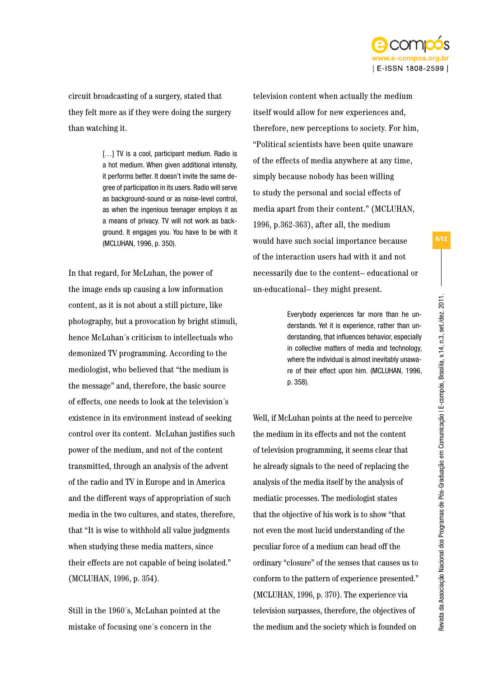

circuit broadcasting of a surgery, stated that they felt more as if they were doing the surgery than watching it.

> [...] TV is a cool, participant medium. Radio is a hot medium. When given additional intensity, it performs better. It doesn't invite the same degree of participation in its users. Radio will serve as background-sound or as noise-level control, as when the ingenious teenager employs it as a means of privacy. TV will not work as background. It engages you. You have to be with it (MCLUHAN, 1996, p. 350).

In that regard, for McLuhan, the power of the image ends up causing a low information content, as it is not about a still picture, like photography, but a provocation by bright stimuli, hence McLuhan´s criticism to intellectuals who demonized TV programming. According to the mediologist, who believed that "the medium is the message" and, therefore, the basic source of effects, one needs to look at the television´s existence in its environment instead of seeking control over its content. McLuhan justifies such power of the medium, and not of the content transmitted, through an analysis of the advent of the radio and TV in Europe and in America and the different ways of appropriation of such media in the two cultures, and states, therefore, that "It is wise to withhold all value judgments when studying these media matters, since their effects are not capable of being isolated." (MCLUHAN, 1996, p. 354).

Still in the 1960´s, McLuhan pointed at the mistake of focusing one´s concern in the

television content when actually the medium itself would allow for new experiences and, therefore, new perceptions to society. For him, "Political scientists have been quite unaware of the effects of media anywhere at any time, simply because nobody has been willing to study the personal and social effects of media apart from their content." (MCLUHAN, 1996, p.362-363), after all, the medium would have such social importance because of the interaction users had with it and not necessarily due to the content– educational or un-educational– they might present.

> Everybody experiences far more than he understands. Yet it is experience, rather than understanding, that influences behavior, especially in collective matters of media and technology, where the individual is almost inevitably unaware of their effect upon him. (MCLUHAN, 1996, p. 358).

Well, if McLuhan points at the need to perceive the medium in its effects and not the content of television programming, it seems clear that he already signals to the need of replacing the analysis of the media itself by the analysis of mediatic processes. The mediologist states that the objective of his work is to show "that not even the most lucid understanding of the peculiar force of a medium can head off the ordinary "closure" of the senses that causes us to conform to the pattern of experience presented." (MCLUHAN, 1996, p. 370). The experience via television surpasses, therefore, the objectives of the medium and the society which is founded on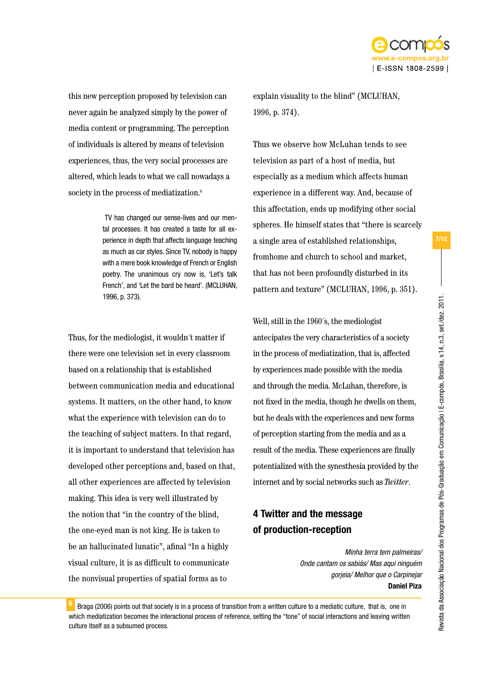

this new perception proposed by television can never again be analyzed simply by the power of media content or programming. The perception of individuals is altered by means of television experiences, thus, the very social processes are altered, which leads to what we call nowadays a society in the process of mediatization.<sup>6</sup>

> TV has changed our sense-lives and our mental processes. It has created a taste for all experience in depth that affects language teaching as much as car styles. Since TV, nobody is happy with a mere book knowledge of French or English poetry. The unanimous cry now is, 'Let's talk French', and 'Let the bard be heard'. (MCLUHAN, 1996, p. 373).

Thus, for the mediologist, it wouldn´t matter if there were one television set in every classroom based on a relationship that is established between communication media and educational systems. It matters, on the other hand, to know what the experience with television can do to the teaching of subject matters. In that regard, it is important to understand that television has developed other perceptions and, based on that, all other experiences are affected by television making. This idea is very well illustrated by the notion that "in the country of the blind, the one-eyed man is not king. He is taken to be an hallucinated lunatic", afinal "In a highly visual culture, it is as difficult to communicate the nonvisual properties of spatial forms as to

explain visuality to the blind" (MCLUHAN, 1996, p. 374).

Thus we observe how McLuhan tends to see television as part of a host of media, but especially as a medium which affects human experience in a different way. And, because of this affectation, ends up modifying other social spheres. He himself states that "there is scarcely a single area of established relationships, fromhome and church to school and market, that has not been profoundly disturbed in its pattern and texture" (MCLUHAN, 1996, p. 351).

Well, still in the 1960´s, the mediologist antecipates the very characteristics of a society in the process of mediatization, that is, affected by experiences made possible with the media and through the media. McLuhan, therefore, is not fixed in the media, though he dwells on them, but he deals with the experiences and new forms of perception starting from the media and as a result of the media. These experiences are finally potentialized with the synesthesia provided by the internet and by social networks such as *Twitter*.

# 4 Twitter and the message of production-reception

*Minha terra tem palmeiras/ Onde cantam os sabiás/ Mas aqui ninguém gorjeia/ Melhor que o Carpinejar* **Daniel Piza**

<sup>6</sup> Braga (2006) points out that society is in a process of transition from a written culture to a mediatic culture, that is, one in which mediatization becomes the interactional process of reference, setting the "tone" of social interactions and leaving written culture itself as a subsumed process.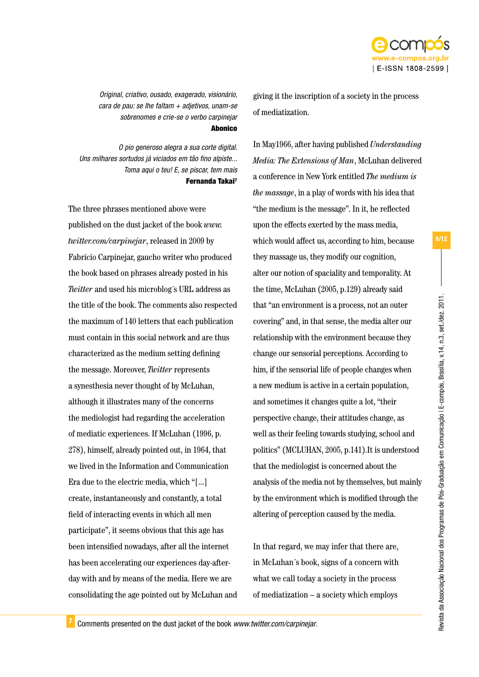

*Original, criativo, ousado, exagerado, visionário, cara de pau: se lhe faltam + adjetivos, unam-se sobrenomes e crie-se o verbo carpinejar* Abonico

*O pio generoso alegra a sua corte digital. Uns milhares sortudos já viciados em tão fino alpiste... Toma aqui o teu! E, se piscar, tem mais* Fernanda Takai<sup>7</sup>

The three phrases mentioned above were published on the dust jacket of the book *www. twitter.com/carpinejar*, released in 2009 by Fabrício Carpinejar, gaucho writer who produced the book based on phrases already posted in his *Twitter* and used his microblog´s URL address as the title of the book. The comments also respected the maximum of 140 letters that each publication must contain in this social network and are thus characterized as the medium setting defining the message. Moreover, *Twitter* represents a synesthesia never thought of by McLuhan, although it illustrates many of the concerns the mediologist had regarding the acceleration of mediatic experiences. If McLuhan (1996, p. 278), himself, already pointed out, in 1964, that we lived in the Information and Communication Era due to the electric media, which "[...] create, instantaneously and constantly, a total field of interacting events in which all men participate", it seems obvious that this age has been intensified nowadays, after all the internet has been accelerating our experiences day-afterday with and by means of the media. Here we are consolidating the age pointed out by McLuhan and giving it the inscription of a society in the process of mediatization.

In May1966, after having published *Understanding Media: The Extensions of Man*, McLuhan delivered a conference in New York entitled *The medium is the massage*, in a play of words with his idea that "the medium is the message". In it, he reflected upon the effects exerted by the mass media, which would affect us, according to him, because they massage us, they modify our cognition, alter our notion of spaciality and temporality. At the time, McLuhan (2005, p.129) already said that "an environment is a process, not an outer covering" and, in that sense, the media alter our relationship with the environment because they change our sensorial perceptions. According to him, if the sensorial life of people changes when a new medium is active in a certain population, and sometimes it changes quite a lot, "their perspective change, their attitudes change, as well as their feeling towards studying, school and politics" (MCLUHAN, 2005, p.141).It is understood that the mediologist is concerned about the analysis of the media not by themselves, but mainly by the environment which is modified through the altering of perception caused by the media.

In that regard, we may infer that there are, in McLuhan´s book, signs of a concern with what we call today a society in the process of mediatization – a society which employs

<sup>7</sup> Comments presented on the dust jacket of the book *www.twitter.com/carpinejar*.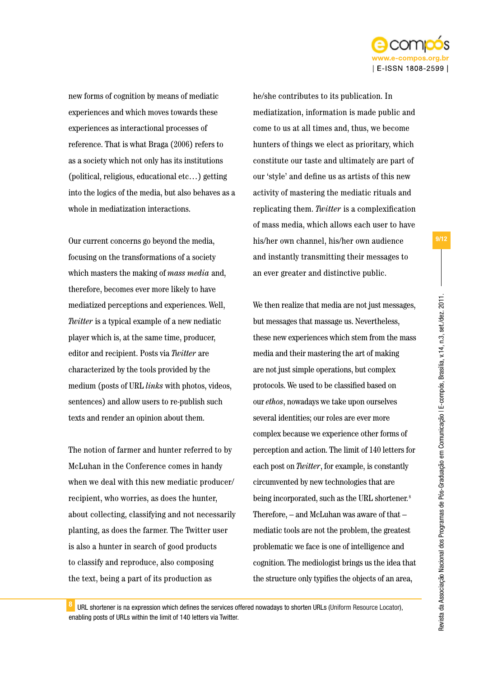

new forms of cognition by means of mediatic experiences and which moves towards these experiences as interactional processes of reference. That is what Braga (2006) refers to as a society which not only has its institutions (political, religious, educational etc…) getting into the logics of the media, but also behaves as a whole in mediatization interactions.

Our current concerns go beyond the media, focusing on the transformations of a society which masters the making of *mass media* and, therefore, becomes ever more likely to have mediatized perceptions and experiences. Well, *Twitter* is a typical example of a new nediatic player which is, at the same time, producer, editor and recipient. Posts via *Twitter* are characterized by the tools provided by the medium (posts of URL *links* with photos, videos, sentences) and allow users to re-publish such texts and render an opinion about them.

The notion of farmer and hunter referred to by McLuhan in the Conference comes in handy when we deal with this new mediatic producer/ recipient, who worries, as does the hunter, about collecting, classifying and not necessarily planting, as does the farmer. The Twitter user is also a hunter in search of good products to classify and reproduce, also composing the text, being a part of its production as

he/she contributes to its publication. In mediatization, information is made public and come to us at all times and, thus, we become hunters of things we elect as prioritary, which constitute our taste and ultimately are part of our 'style' and define us as artists of this new activity of mastering the mediatic rituals and replicating them. *Twitter* is a complexification of mass media, which allows each user to have his/her own channel, his/her own audience and instantly transmitting their messages to an ever greater and distinctive public.

We then realize that media are not just messages, but messages that massage us. Nevertheless, these new experiences which stem from the mass media and their mastering the art of making are not just simple operations, but complex protocols. We used to be classified based on our *ethos*, nowadays we take upon ourselves several identities; our roles are ever more complex because we experience other forms of perception and action. The limit of 140 letters for each post on *Twitter*, for example, is constantly circumvented by new technologies that are being incorporated, such as the URL shortener*.* 8 Therefore, – and McLuhan was aware of that – mediatic tools are not the problem, the greatest problematic we face is one of intelligence and cognition. The mediologist brings us the idea that the structure only typifies the objects of an area,

8 URL shortener is na expression which defines the services offered nowadays to shorten URLs (Uniform Resource Locator), enabling posts of URLs within the limit of 140 letters via Twitter.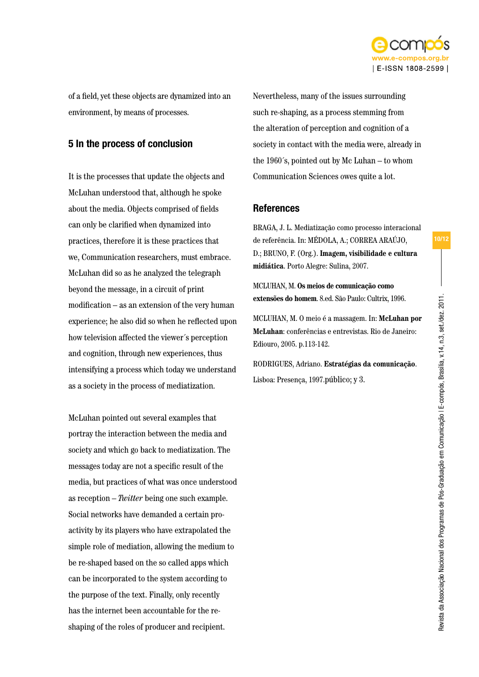

of a field, yet these objects are dynamized into an environment, by means of processes.

### 5 In the process of conclusion

It is the processes that update the objects and McLuhan understood that, although he spoke about the media. Objects comprised of fields can only be clarified when dynamized into practices, therefore it is these practices that we, Communication researchers, must embrace. McLuhan did so as he analyzed the telegraph beyond the message, in a circuit of print modification – as an extension of the very human experience; he also did so when he reflected upon how television affected the viewer´s perception and cognition, through new experiences, thus intensifying a process which today we understand as a society in the process of mediatization.

McLuhan pointed out several examples that portray the interaction between the media and society and which go back to mediatization. The messages today are not a specific result of the media, but practices of what was once understood as reception – *Twitter* being one such example. Social networks have demanded a certain proactivity by its players who have extrapolated the simple role of mediation, allowing the medium to be re-shaped based on the so called apps which can be incorporated to the system according to the purpose of the text. Finally, only recently has the internet been accountable for the reshaping of the roles of producer and recipient.

Nevertheless, many of the issues surrounding such re-shaping, as a process stemming from the alteration of perception and cognition of a society in contact with the media were, already in the 1960´s, pointed out by Mc Luhan – to whom Communication Sciences owes quite a lot.

### References

BRAGA, J. L. Mediatização como processo interacional de referência. In: MÉDOLA, A.; CORREA ARAÚJO, D.; BRUNO, F. (Org.). **Imagem, visibilidade e cultura midiática**. Porto Alegre: Sulina, 2007.

MCLUHAN, M. **Os meios de comunicação como extensões do homem**. 8.ed. São Paulo: Cultrix, 1996.

MCLUHAN, M. O meio é a massagem. In: **McLuhan por McLuhan**: conferências e entrevistas. Rio de Janeiro: Ediouro, 2005. p.113-142.

RODRIGUES, Adriano. **Estratégias da comunicação**. Lisboa: Presença, 1997.público; y 3.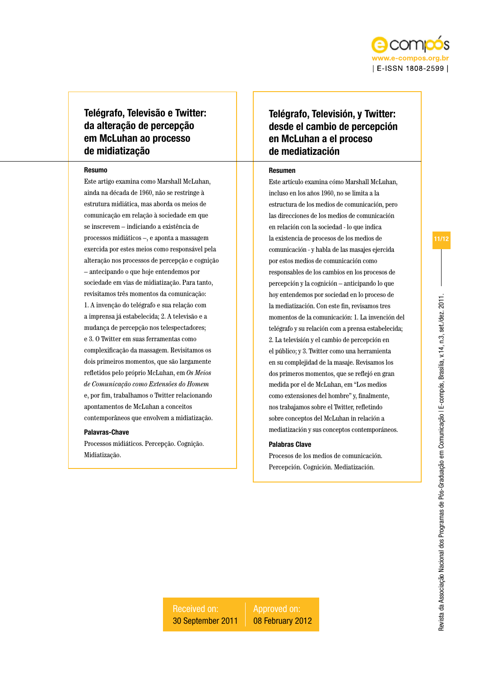

### Telégrafo, Televisão e Twitter: da alteração de percepção em McLuhan ao processo de midiatização

#### Resumo

Este artigo examina como Marshall McLuhan, ainda na década de 1960, não se restringe à estrutura midiática, mas aborda os meios de comunicação em relação à sociedade em que se inscrevem – indiciando a existência de processos midiáticos –, e aponta a massagem exercida por estes meios como responsável pela alteração nos processos de percepção e cognição – antecipando o que hoje entendemos por sociedade em vias de midiatização. Para tanto, revisitamos três momentos da comunicação: 1. A invenção do telégrafo e sua relação com a imprensa já estabelecida; 2. A televisão e a mudança de percepção nos telespectadores; e 3. O Twitter em suas ferramentas como complexificação da massagem. Revisitamos os dois primeiros momentos, que são largamente refletidos pelo próprio McLuhan, em *Os Meios de Comunicação como Extensões do Homem* e, por fim, trabalhamos o Twitter relacionando apontamentos de McLuhan a conceitos contemporâneos que envolvem a midiatização.

#### Palavras-Chave

Processos midiáticos. Percepção. Cognição. Midiatização.

### Telégrafo, Televisión, y Twitter: desde el cambio de percepción en McLuhan a el proceso de mediatización

#### Resumen

Este artículo examina cómo Marshall McLuhan, incluso en los años 1960, no se limita a la estructura de los medios de comunicación, pero las direcciones de los medios de comunicación en relación con la sociedad - lo que indica la existencia de procesos de los medios de comunicación - y habla de las masajes ejercida por estos medios de comunicación como responsables de los cambios en los procesos de percepción y la cognición – anticipando lo que hoy entendemos por sociedad en lo proceso de la mediatización. Con este fin, revisamos tres momentos de la comunicación: 1. La invención del telégrafo y su relación com a prensa estabelecida; 2. La televisión y el cambio de percepción en el público; y 3. Twitter como una herramienta en su complejidad de la masaje. Revisamos los dos primeros momentos, que se reflejó en gran medida por el de McLuhan, em "Los medios como extensiones del hombre" y, finalmente, nos trabajamos sobre el Twitter, refletindo sobre conceptos del McLuhan in relación a mediatización y sus conceptos contemporáneos.

#### Palabras Clave

Procesos de los medios de comunicación. Percepción. Cognición. Mediatización.